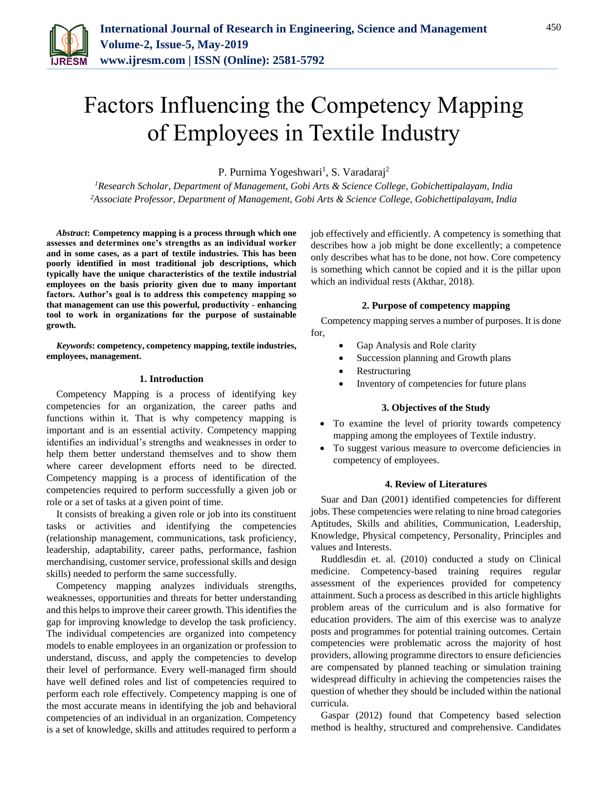

# Factors Influencing the Competency Mapping of Employees in Textile Industry

P. Purnima Yogeshwari<sup>1</sup>, S. Varadaraj<sup>2</sup>

*<sup>1</sup>Research Scholar, Department of Management, Gobi Arts & Science College, Gobichettipalayam, India 2Associate Professor, Department of Management, Gobi Arts & Science College, Gobichettipalayam, India*

*Abstract***: Competency mapping is a process through which one assesses and determines one's strengths as an individual worker and in some cases, as a part of textile industries. This has been poorly identified in most traditional job descriptions, which typically have the unique characteristics of the textile industrial employees on the basis priority given due to many important factors. Author's goal is to address this competency mapping so that management can use this powerful, productivity - enhancing tool to work in organizations for the purpose of sustainable growth.**

*Keywords***: competency, competency mapping, textile industries, employees, management.**

#### **1. Introduction**

Competency Mapping is a process of identifying key competencies for an organization, the career paths and functions within it. That is why competency mapping is important and is an essential activity. Competency mapping identifies an individual's strengths and weaknesses in order to help them better understand themselves and to show them where career development efforts need to be directed. Competency mapping is a process of identification of the competencies required to perform successfully a given job or role or a set of tasks at a given point of time.

It consists of breaking a given role or job into its constituent tasks or activities and identifying the competencies (relationship management, communications, task proficiency, leadership, adaptability, career paths, performance, fashion merchandising, customer service, professional skills and design skills) needed to perform the same successfully.

Competency mapping analyzes individuals strengths, weaknesses, opportunities and threats for better understanding and this helps to improve their career growth. This identifies the gap for improving knowledge to develop the task proficiency. The individual competencies are organized into competency models to enable employees in an organization or profession to understand, discuss, and apply the competencies to develop their level of performance. Every well-managed firm should have well defined roles and list of competencies required to perform each role effectively. Competency mapping is one of the most accurate means in identifying the job and behavioral competencies of an individual in an organization. Competency is a set of knowledge, skills and attitudes required to perform a job effectively and efficiently. A competency is something that describes how a job might be done excellently; a competence only describes what has to be done, not how. Core competency is something which cannot be copied and it is the pillar upon which an individual rests (Akthar, 2018).

# **2. Purpose of competency mapping**

Competency mapping serves a number of purposes. It is done for,

- Gap Analysis and Role clarity
- Succession planning and Growth plans
- Restructuring
- Inventory of competencies for future plans

## **3. Objectives of the Study**

- To examine the level of priority towards competency mapping among the employees of Textile industry.
- To suggest various measure to overcome deficiencies in competency of employees.

#### **4. Review of Literatures**

Suar and Dan (2001) identified competencies for different jobs. These competencies were relating to nine broad categories Aptitudes, Skills and abilities, Communication, Leadership, Knowledge, Physical competency, Personality, Principles and values and Interests.

Ruddlesdin et. al. (2010) conducted a study on Clinical medicine. Competency-based training requires regular assessment of the experiences provided for competency attainment. Such a process as described in this article highlights problem areas of the curriculum and is also formative for education providers. The aim of this exercise was to analyze posts and programmes for potential training outcomes. Certain competencies were problematic across the majority of host providers, allowing programme directors to ensure deficiencies are compensated by planned teaching or simulation training widespread difficulty in achieving the competencies raises the question of whether they should be included within the national curricula.

Gaspar (2012) found that Competency based selection method is healthy, structured and comprehensive. Candidates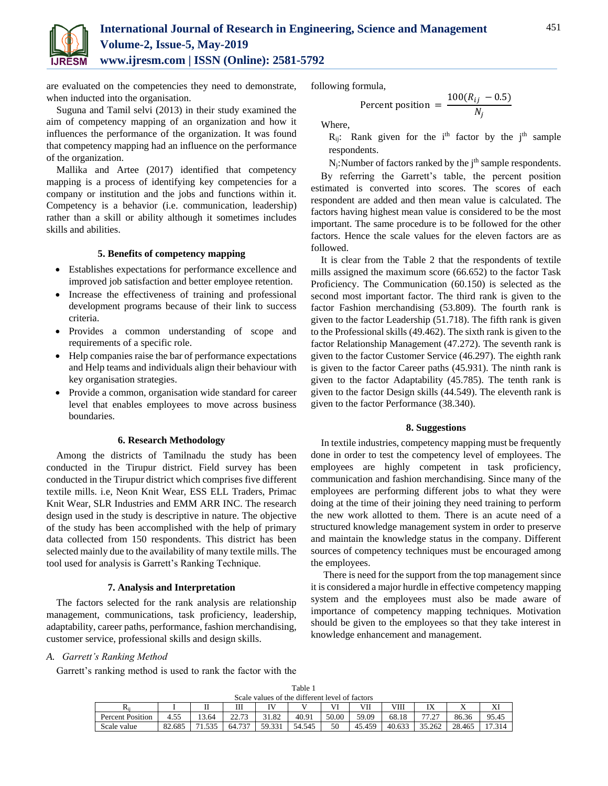

are evaluated on the competencies they need to demonstrate, when inducted into the organisation.

Suguna and Tamil selvi (2013) in their study examined the aim of competency mapping of an organization and how it influences the performance of the organization. It was found that competency mapping had an influence on the performance of the organization.

Mallika and Artee (2017) identified that competency mapping is a process of identifying key competencies for a company or institution and the jobs and functions within it. Competency is a behavior (i.e. communication, leadership) rather than a skill or ability although it sometimes includes skills and abilities.

## **5. Benefits of competency mapping**

- Establishes expectations for performance excellence and improved job satisfaction and better employee retention.
- Increase the effectiveness of training and professional development programs because of their link to success criteria.
- Provides a common understanding of scope and requirements of a specific role.
- Help companies raise the bar of performance expectations and Help teams and individuals align their behaviour with key organisation strategies.
- Provide a common, organisation wide standard for career level that enables employees to move across business boundaries.

#### **6. Research Methodology**

Among the districts of Tamilnadu the study has been conducted in the Tirupur district. Field survey has been conducted in the Tirupur district which comprises five different textile mills. i.e, Neon Knit Wear, ESS ELL Traders, Primac Knit Wear, SLR Industries and EMM ARR INC. The research design used in the study is descriptive in nature. The objective of the study has been accomplished with the help of primary data collected from 150 respondents. This district has been selected mainly due to the availability of many textile mills. The tool used for analysis is Garrett's Ranking Technique.

#### **7. Analysis and Interpretation**

The factors selected for the rank analysis are relationship management, communications, task proficiency, leadership, adaptability, career paths, performance, fashion merchandising, customer service, professional skills and design skills.

following formula,

$$
Percent position = \frac{100(R_{ij} - 0.5)}{N_j}
$$

Where,

 $R_{ii}$ : Rank given for the i<sup>th</sup> factor by the j<sup>th</sup> sample respondents.

 $N_j$ : Number of factors ranked by the  $j<sup>th</sup>$  sample respondents.

By referring the Garrett's table, the percent position estimated is converted into scores. The scores of each respondent are added and then mean value is calculated. The factors having highest mean value is considered to be the most important. The same procedure is to be followed for the other factors. Hence the scale values for the eleven factors are as followed.

It is clear from the Table 2 that the respondents of textile mills assigned the maximum score (66.652) to the factor Task Proficiency. The Communication (60.150) is selected as the second most important factor. The third rank is given to the factor Fashion merchandising (53.809). The fourth rank is given to the factor Leadership (51.718). The fifth rank is given to the Professional skills (49.462). The sixth rank is given to the factor Relationship Management (47.272). The seventh rank is given to the factor Customer Service (46.297). The eighth rank is given to the factor Career paths (45.931). The ninth rank is given to the factor Adaptability (45.785). The tenth rank is given to the factor Design skills (44.549). The eleventh rank is given to the factor Performance (38.340).

#### **8. Suggestions**

In textile industries, competency mapping must be frequently done in order to test the competency level of employees. The employees are highly competent in task proficiency, communication and fashion merchandising. Since many of the employees are performing different jobs to what they were doing at the time of their joining they need training to perform the new work allotted to them. There is an acute need of a structured knowledge management system in order to preserve and maintain the knowledge status in the company. Different sources of competency techniques must be encouraged among the employees.

There is need for the support from the top management since it is considered a major hurdle in effective competency mapping system and the employees must also be made aware of importance of competency mapping techniques. Motivation should be given to the employees so that they take interest in knowledge enhancement and management.

#### *A. Garrett's Ranking Method*

Garrett's ranking method is used to rank the factor with the

| Scale values of the different level of factors |        |       |        |                 |        |       |        |        |         |        |       |  |
|------------------------------------------------|--------|-------|--------|-----------------|--------|-------|--------|--------|---------|--------|-------|--|
| Rii                                            |        |       | Ш      | TV <sub>7</sub> |        | VI    | VІI    | VIII   | IX      |        | л     |  |
| <b>Percent Position</b>                        | 4.55   | 13.64 | 22.73  | 31.82           | 40.91  | 50.00 | 59.09  | 68.18  | - 77.07 | 86.36  | 95.45 |  |
| Scale value                                    | 82.685 | 1.535 | 64.737 | 59.331          | 54.545 | 50    | 45.459 | 40.633 | 35.262  | 28.465 | 7.314 |  |

Table 1